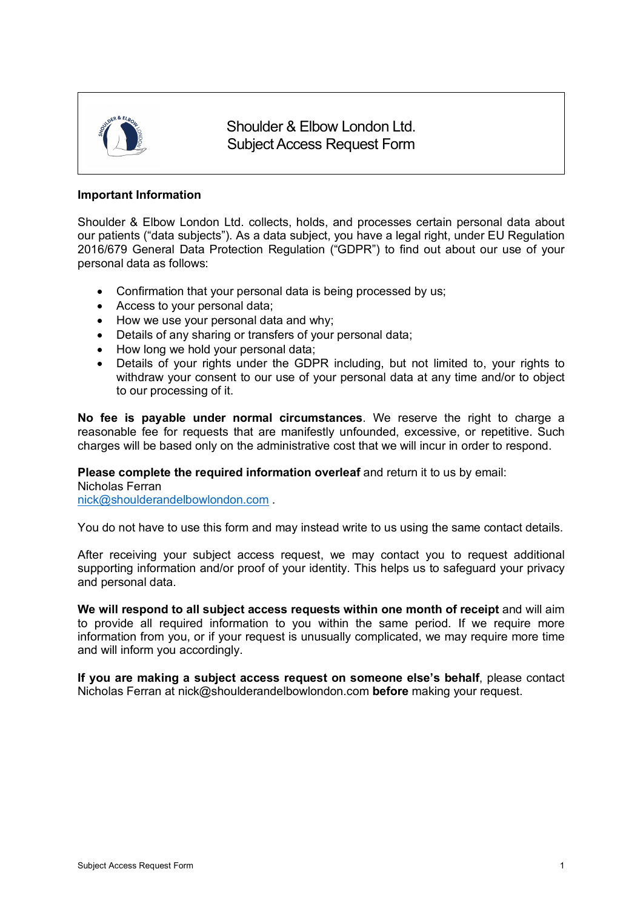

Shoulder & Elbow London Ltd. Subject Access Request Form

### **Important Information**

Shoulder & Elbow London Ltd. collects, holds, and processes certain personal data about our patients ("data subjects"). As a data subject, you have a legal right, under EU Regulation 2016/679 General Data Protection Regulation ("GDPR") to find out about our use of your personal data as follows:

- Confirmation that your personal data is being processed by us;
- Access to your personal data;
- How we use your personal data and why;
- Details of any sharing or transfers of your personal data;
- How long we hold your personal data:
- Details of your rights under the GDPR including, but not limited to, your rights to withdraw your consent to our use of your personal data at any time and/or to object to our processing of it.

**No fee is payable under normal circumstances**. We reserve the right to charge a reasonable fee for requests that are manifestly unfounded, excessive, or repetitive. Such charges will be based only on the administrative cost that we will incur in order to respond.

#### **Please complete the required information overleaf** and return it to us by email:

Nicholas Ferran

nick@shoulderandelbowlondon.com .

You do not have to use this form and may instead write to us using the same contact details.

After receiving your subject access request, we may contact you to request additional supporting information and/or proof of your identity. This helps us to safeguard your privacy and personal data.

**We will respond to all subject access requests within one month of receipt** and will aim to provide all required information to you within the same period. If we require more information from you, or if your request is unusually complicated, we may require more time and will inform you accordingly.

**If you are making a subject access request on someone else's behalf**, please contact Nicholas Ferran at nick@shoulderandelbowlondon.com **before** making your request.